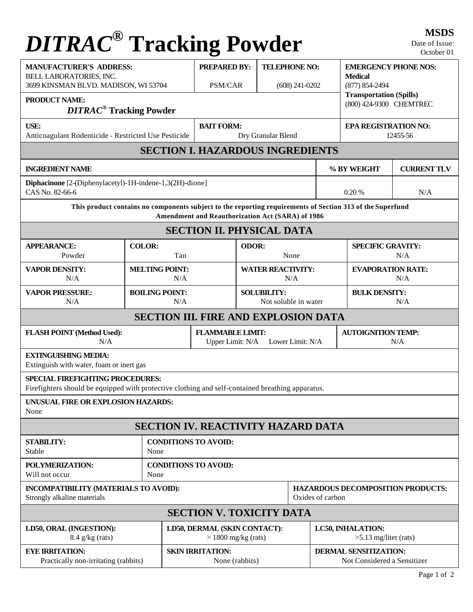## **DITRAC<sup>®</sup> Tracking Powder** MSDS

| 3699 KINSMAN BLVD. MADISON, WI 53704                                        | <b>PREPARED BY:</b> |                                 | <b>TELEPHONE NO:</b>                                         |                              | <b>EMERGENCY PHONE NOS:</b><br><b>Medical</b><br>$(877) 854 - 2494$                                                                                                                                                                                                                         |                                                                                                                                     |                                                                                                                                                                                                 |  |  |
|-----------------------------------------------------------------------------|---------------------|---------------------------------|--------------------------------------------------------------|------------------------------|---------------------------------------------------------------------------------------------------------------------------------------------------------------------------------------------------------------------------------------------------------------------------------------------|-------------------------------------------------------------------------------------------------------------------------------------|-------------------------------------------------------------------------------------------------------------------------------------------------------------------------------------------------|--|--|
| <b>DITRAC<sup>®</sup></b> Tracking Powder                                   |                     |                                 |                                                              |                              |                                                                                                                                                                                                                                                                                             |                                                                                                                                     |                                                                                                                                                                                                 |  |  |
| <b>USE:</b><br>Anticoagulant Rodenticide - Restricted Use Pesticide         |                     |                                 | <b>BAIT FORM:</b><br>Dry Granular Blend                      |                              |                                                                                                                                                                                                                                                                                             |                                                                                                                                     | <b>EPA REGISTRATION NO:</b><br>12455-56                                                                                                                                                         |  |  |
|                                                                             |                     |                                 |                                                              |                              |                                                                                                                                                                                                                                                                                             |                                                                                                                                     |                                                                                                                                                                                                 |  |  |
| <b>INGREDIENT NAME</b>                                                      |                     |                                 |                                                              |                              |                                                                                                                                                                                                                                                                                             |                                                                                                                                     | <b>CURRENT TLV</b>                                                                                                                                                                              |  |  |
| Diphacinone [2-(Diphenylacetyl)-1H-indene-1,3(2H)-dione]<br>CAS No. 82-66-6 |                     |                                 |                                                              |                              |                                                                                                                                                                                                                                                                                             |                                                                                                                                     | N/A                                                                                                                                                                                             |  |  |
|                                                                             |                     |                                 |                                                              |                              |                                                                                                                                                                                                                                                                                             |                                                                                                                                     |                                                                                                                                                                                                 |  |  |
|                                                                             |                     |                                 |                                                              |                              |                                                                                                                                                                                                                                                                                             |                                                                                                                                     |                                                                                                                                                                                                 |  |  |
| <b>COLOR:</b><br>Tan                                                        | ODOR:<br>None       |                                 |                                                              |                              | <b>SPECIFIC GRAVITY:</b>                                                                                                                                                                                                                                                                    |                                                                                                                                     | N/A                                                                                                                                                                                             |  |  |
| <b>MELTING POINT:</b><br>N/A                                                |                     | <b>WATER REACTIVITY:</b><br>N/A |                                                              |                              |                                                                                                                                                                                                                                                                                             | <b>EVAPORATION RATE:</b><br>N/A                                                                                                     |                                                                                                                                                                                                 |  |  |
| <b>BOILING POINT:</b><br>N/A                                                | <b>SOLUBILITY:</b>  |                                 |                                                              |                              | <b>BULK DENSITY:</b><br>N/A                                                                                                                                                                                                                                                                 |                                                                                                                                     |                                                                                                                                                                                                 |  |  |
|                                                                             |                     |                                 |                                                              |                              |                                                                                                                                                                                                                                                                                             |                                                                                                                                     |                                                                                                                                                                                                 |  |  |
|                                                                             |                     | Upper Limit: N/A                |                                                              |                              | <b>AUTOIGNITION TEMP:</b><br>N/A                                                                                                                                                                                                                                                            |                                                                                                                                     |                                                                                                                                                                                                 |  |  |
| Extinguish with water, foam or inert gas                                    |                     |                                 |                                                              |                              |                                                                                                                                                                                                                                                                                             |                                                                                                                                     |                                                                                                                                                                                                 |  |  |
| <b>SPECIAL FIREFIGHTING PROCEDURES:</b>                                     |                     |                                 |                                                              |                              |                                                                                                                                                                                                                                                                                             |                                                                                                                                     |                                                                                                                                                                                                 |  |  |
| UNUSUAL FIRE OR EXPLOSION HAZARDS:                                          |                     |                                 |                                                              |                              |                                                                                                                                                                                                                                                                                             |                                                                                                                                     |                                                                                                                                                                                                 |  |  |
|                                                                             |                     |                                 |                                                              |                              |                                                                                                                                                                                                                                                                                             |                                                                                                                                     |                                                                                                                                                                                                 |  |  |
| <b>STABILITY:</b><br><b>CONDITIONS TO AVOID:</b><br>Stable<br>None          |                     |                                 |                                                              |                              |                                                                                                                                                                                                                                                                                             |                                                                                                                                     |                                                                                                                                                                                                 |  |  |
| <b>CONDITIONS TO AVOID:</b><br>None                                         |                     |                                 |                                                              |                              |                                                                                                                                                                                                                                                                                             |                                                                                                                                     |                                                                                                                                                                                                 |  |  |
| INCOMPATIBILITY (MATERIALS TO AVOID):<br>Strongly alkaline materials        |                     |                                 | <b>HAZARDOUS DECOMPOSITION PRODUCTS:</b><br>Oxides of carbon |                              |                                                                                                                                                                                                                                                                                             |                                                                                                                                     |                                                                                                                                                                                                 |  |  |
|                                                                             |                     |                                 |                                                              |                              |                                                                                                                                                                                                                                                                                             |                                                                                                                                     |                                                                                                                                                                                                 |  |  |
| LD50, ORAL (INGESTION):<br>$8.4$ g/kg (rats)                                |                     |                                 | $> 1800$ mg/kg (rats)                                        |                              |                                                                                                                                                                                                                                                                                             | LC50, INHALATION:<br>$>5.13$ mg/liter (rats)                                                                                        |                                                                                                                                                                                                 |  |  |
| <b>EYE IRRITATION:</b><br>Practically non-irritating (rabbits)              |                     |                                 | None (rabbits)                                               |                              |                                                                                                                                                                                                                                                                                             | <b>DERMAL SENSITIZATION:</b><br>Not Considered a Sensitizer                                                                         |                                                                                                                                                                                                 |  |  |
|                                                                             |                     | <b>SKIN IRRITATION:</b>         | PSM/CAR<br><b>FLAMMABLE LIMIT:</b>                           | LD50, DERMAL (SKIN CONTACT): | $(608)$ 241-0202<br>Amendment and Reauthorization Act (SARA) of 1986<br><b>SECTION II. PHYSICAL DATA</b><br>Not soluble in water<br>Lower Limit: N/A<br>Firefighters should be equipped with protective clothing and self-contained breathing apparatus.<br><b>SECTION V. TOXICITY DATA</b> | <b>SECTION I. HAZARDOUS INGREDIENTS</b><br><b>SECTION III. FIRE AND EXPLOSION DATA</b><br><b>SECTION IV. REACTIVITY HAZARD DATA</b> | <b>Transportation (Spills)</b><br>(800) 424-9300 CHEMTREC<br>% BY WEIGHT<br>0.20 %<br>This product contains no components subject to the reporting requirements of Section 313 of the Superfund |  |  |

Date of Issue: October 01